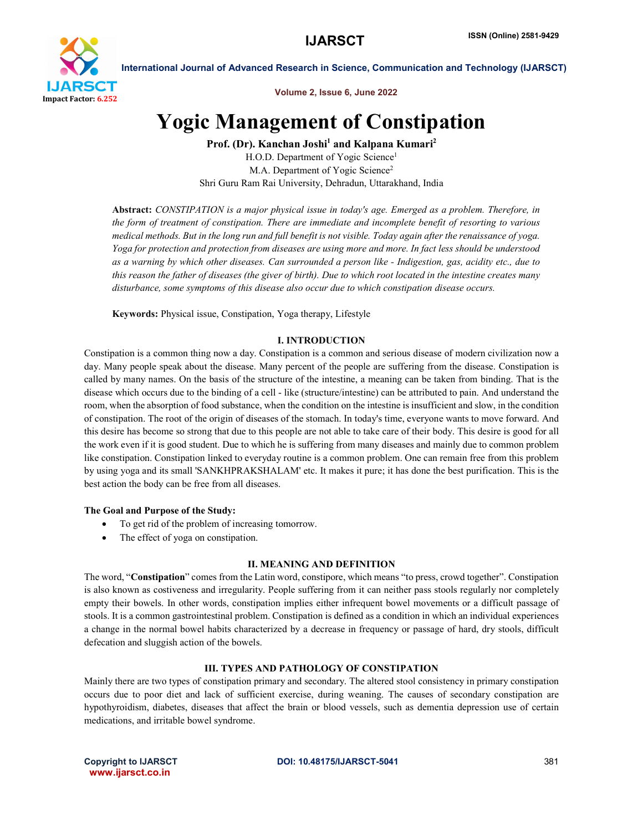

International Journal of Advanced Research in Science, Communication and Technology (IJARSCT)

Volume 2, Issue 6, June 2022

# Yogic Management of Constipation

Prof. (Dr). Kanchan Joshi<sup>1</sup> and Kalpana Kumari<sup>2</sup>

H.O.D. Department of Yogic Science<sup>1</sup> M.A. Department of Yogic Science<sup>2</sup> Shri Guru Ram Rai University, Dehradun, Uttarakhand, India

Abstract: *CONSTIPATION is a major physical issue in today's age. Emerged as a problem. Therefore, in the form of treatment of constipation. There are immediate and incomplete benefit of resorting to various medical methods. But in the long run and full benefit is not visible. Today again after the renaissance of yoga. Yoga for protection and protection from diseases are using more and more. In fact less should be understood as a warning by which other diseases. Can surrounded a person like - Indigestion, gas, acidity etc., due to this reason the father of diseases (the giver of birth). Due to which root located in the intestine creates many disturbance, some symptoms of this disease also occur due to which constipation disease occurs.*

Keywords: Physical issue, Constipation, Yoga therapy, Lifestyle

# I. INTRODUCTION

Constipation is a common thing now a day. Constipation is a common and serious disease of modern civilization now a day. Many people speak about the disease. Many percent of the people are suffering from the disease. Constipation is called by many names. On the basis of the structure of the intestine, a meaning can be taken from binding. That is the disease which occurs due to the binding of a cell - like (structure/intestine) can be attributed to pain. And understand the room, when the absorption of food substance, when the condition on the intestine is insufficient and slow, in the condition of constipation. The root of the origin of diseases of the stomach. In today's time, everyone wants to move forward. And this desire has become so strong that due to this people are not able to take care of their body. This desire is good for all the work even if it is good student. Due to which he is suffering from many diseases and mainly due to common problem like constipation. Constipation linked to everyday routine is a common problem. One can remain free from this problem by using yoga and its small 'SANKHPRAKSHALAM' etc. It makes it pure; it has done the best purification. This is the best action the body can be free from all diseases.

# The Goal and Purpose of the Study:

- To get rid of the problem of increasing tomorrow.
- The effect of yoga on constipation.

#### II. MEANING AND DEFINITION

The word, "Constipation" comes from the Latin word, constipore, which means "to press, crowd together". Constipation is also known as costiveness and irregularity. People suffering from it can neither pass stools regularly nor completely empty their bowels. In other words, constipation implies either infrequent bowel movements or a difficult passage of stools. It is a common gastrointestinal problem. Constipation is defined as a condition in which an individual experiences a change in the normal bowel habits characterized by a decrease in frequency or passage of hard, dry stools, difficult defecation and sluggish action of the bowels.

# III. TYPES AND PATHOLOGY OF CONSTIPATION

Mainly there are two types of constipation primary and secondary. The altered stool consistency in primary constipation occurs due to poor diet and lack of sufficient exercise, during weaning. The causes of secondary constipation are hypothyroidism, diabetes, diseases that affect the brain or blood vessels, such as dementia depression use of certain medications, and irritable bowel syndrome.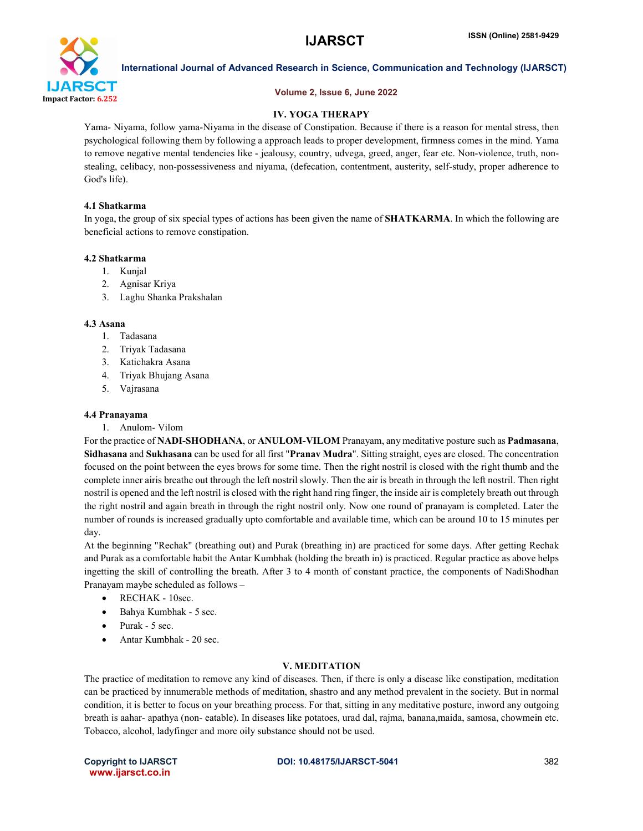

# International Journal of Advanced Research in Science, Communication and Technology (IJARSCT)

#### Volume 2, Issue 6, June 2022

# IV. YOGA THERAPY

Yama- Niyama, follow yama-Niyama in the disease of Constipation. Because if there is a reason for mental stress, then psychological following them by following a approach leads to proper development, firmness comes in the mind. Yama to remove negative mental tendencies like - jealousy, country, udvega, greed, anger, fear etc. Non-violence, truth, nonstealing, celibacy, non-possessiveness and niyama, (defecation, contentment, austerity, self-study, proper adherence to God's life).

# 4.1 Shatkarma

In yoga, the group of six special types of actions has been given the name of **SHATKARMA**. In which the following are beneficial actions to remove constipation.

### 4.2 Shatkarma

- 1. Kunjal
- 2. Agnisar Kriya
- 3. Laghu Shanka Prakshalan

#### 4.3 Asana

- 1. Tadasana
- 2. Triyak Tadasana
- 3. Katichakra Asana
- 4. Triyak Bhujang Asana
- 5. Vajrasana

## 4.4 Pranayama

1. Anulom- Vilom

For the practice of NADI-SHODHANA, or ANULOM-VILOM Pranayam, any meditative posture such as Padmasana, Sidhasana and Sukhasana can be used for all first "Pranav Mudra". Sitting straight, eyes are closed. The concentration focused on the point between the eyes brows for some time. Then the right nostril is closed with the right thumb and the complete inner airis breathe out through the left nostril slowly. Then the air is breath in through the left nostril. Then right nostril is opened and the left nostril is closed with the right hand ring finger, the inside air is completely breath out through the right nostril and again breath in through the right nostril only. Now one round of pranayam is completed. Later the number of rounds is increased gradually upto comfortable and available time, which can be around 10 to 15 minutes per day.

At the beginning "Rechak" (breathing out) and Purak (breathing in) are practiced for some days. After getting Rechak and Purak as a comfortable habit the Antar Kumbhak (holding the breath in) is practiced. Regular practice as above helps ingetting the skill of controlling the breath. After 3 to 4 month of constant practice, the components of NadiShodhan Pranayam maybe scheduled as follows –

- RECHAK 10sec.
- Bahya Kumbhak 5 sec.
- Purak 5 sec.
- Antar Kumbhak 20 sec.

# V. MEDITATION

The practice of meditation to remove any kind of diseases. Then, if there is only a disease like constipation, meditation can be practiced by innumerable methods of meditation, shastro and any method prevalent in the society. But in normal condition, it is better to focus on your breathing process. For that, sitting in any meditative posture, inword any outgoing breath is aahar- apathya (non- eatable). In diseases like potatoes, urad dal, rajma, banana,maida, samosa, chowmein etc. Tobacco, alcohol, ladyfinger and more oily substance should not be used.

www.ijarsct.co.in

Copyright to IJARSCT **DOI: 10.48175/IJARSCT-5041** 382